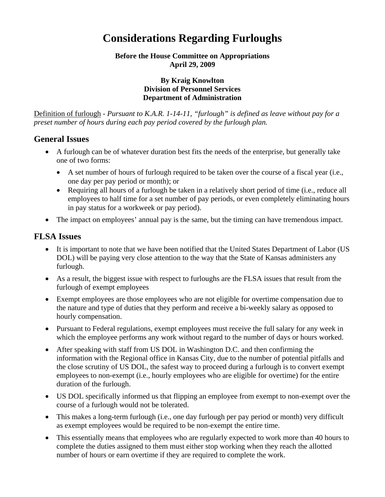# **Considerations Regarding Furloughs**

**Before the House Committee on Appropriations April 29, 2009** 

#### **By Kraig Knowlton Division of Personnel Services Department of Administration**

Definition of furlough - *Pursuant to K.A.R. 1-14-11, "furlough" is defined as leave without pay for a preset number of hours during each pay period covered by the furlough plan.*

#### **General Issues**

- A furlough can be of whatever duration best fits the needs of the enterprise, but generally take one of two forms:
	- A set number of hours of furlough required to be taken over the course of a fiscal year (i.e., one day per pay period or month); or
	- Requiring all hours of a furlough be taken in a relatively short period of time (i.e., reduce all employees to half time for a set number of pay periods, or even completely eliminating hours in pay status for a workweek or pay period).
- The impact on employees' annual pay is the same, but the timing can have tremendous impact.

#### **FLSA Issues**

- It is important to note that we have been notified that the United States Department of Labor (US DOL) will be paying very close attention to the way that the State of Kansas administers any furlough.
- As a result, the biggest issue with respect to furloughs are the FLSA issues that result from the furlough of exempt employees
- Exempt employees are those employees who are not eligible for overtime compensation due to the nature and type of duties that they perform and receive a bi-weekly salary as opposed to hourly compensation.
- Pursuant to Federal regulations, exempt employees must receive the full salary for any week in which the employee performs any work without regard to the number of days or hours worked.
- After speaking with staff from US DOL in Washington D.C. and then confirming the information with the Regional office in Kansas City, due to the number of potential pitfalls and the close scrutiny of US DOL, the safest way to proceed during a furlough is to convert exempt employees to non-exempt (i.e., hourly employees who are eligible for overtime) for the entire duration of the furlough.
- US DOL specifically informed us that flipping an employee from exempt to non-exempt over the course of a furlough would not be tolerated.
- This makes a long-term furlough (i.e., one day furlough per pay period or month) very difficult as exempt employees would be required to be non-exempt the entire time.
- This essentially means that employees who are regularly expected to work more than 40 hours to complete the duties assigned to them must either stop working when they reach the allotted number of hours or earn overtime if they are required to complete the work.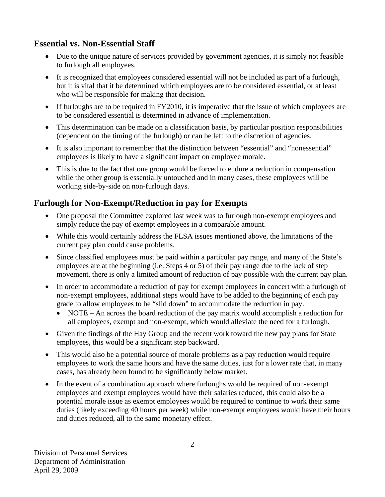### **Essential vs. Non-Essential Staff**

- Due to the unique nature of services provided by government agencies, it is simply not feasible to furlough all employees.
- It is recognized that employees considered essential will not be included as part of a furlough, but it is vital that it be determined which employees are to be considered essential, or at least who will be responsible for making that decision.
- If furloughs are to be required in FY2010, it is imperative that the issue of which employees are to be considered essential is determined in advance of implementation.
- This determination can be made on a classification basis, by particular position responsibilities (dependent on the timing of the furlough) or can be left to the discretion of agencies.
- It is also important to remember that the distinction between "essential" and "nonessential" employees is likely to have a significant impact on employee morale.
- This is due to the fact that one group would be forced to endure a reduction in compensation while the other group is essentially untouched and in many cases, these employees will be working side-by-side on non-furlough days.

# **Furlough for Non-Exempt/Reduction in pay for Exempts**

- One proposal the Committee explored last week was to furlough non-exempt employees and simply reduce the pay of exempt employees in a comparable amount.
- While this would certainly address the FLSA issues mentioned above, the limitations of the current pay plan could cause problems.
- Since classified employees must be paid within a particular pay range, and many of the State's employees are at the beginning (i.e. Steps 4 or 5) of their pay range due to the lack of step movement, there is only a limited amount of reduction of pay possible with the current pay plan.
- In order to accommodate a reduction of pay for exempt employees in concert with a furlough of non-exempt employees, additional steps would have to be added to the beginning of each pay grade to allow employees to be "slid down" to accommodate the reduction in pay.
	- NOTE An across the board reduction of the pay matrix would accomplish a reduction for all employees, exempt and non-exempt, which would alleviate the need for a furlough.
- Given the findings of the Hay Group and the recent work toward the new pay plans for State employees, this would be a significant step backward.
- This would also be a potential source of morale problems as a pay reduction would require employees to work the same hours and have the same duties, just for a lower rate that, in many cases, has already been found to be significantly below market.
- In the event of a combination approach where furloughs would be required of non-exempt employees and exempt employees would have their salaries reduced, this could also be a potential morale issue as exempt employees would be required to continue to work their same duties (likely exceeding 40 hours per week) while non-exempt employees would have their hours and duties reduced, all to the same monetary effect.